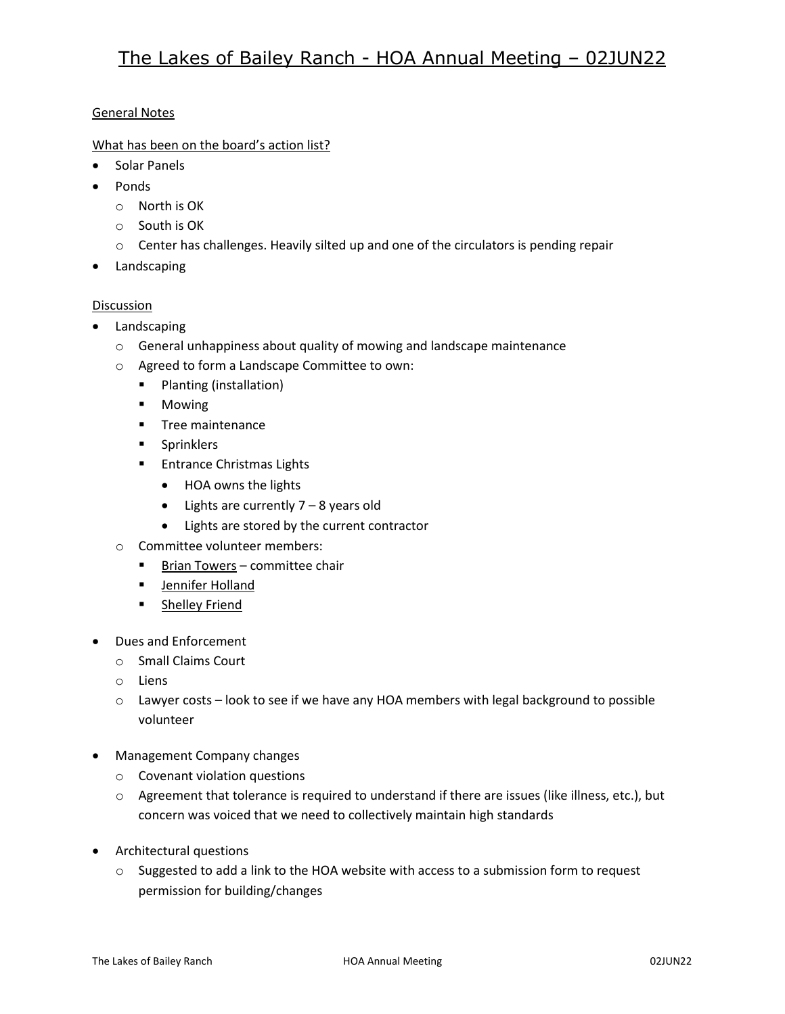## General Notes

What has been on the board's action list?

- Solar Panels
- Ponds
	- o North is OK
	- o South is OK
	- $\circ$  Center has challenges. Heavily silted up and one of the circulators is pending repair
- Landscaping

## Discussion

- Landscaping
	- o General unhappiness about quality of mowing and landscape maintenance
	- o Agreed to form a Landscape Committee to own:
		- **Planting (installation)**
		- **•** Mowing
		- **Tree maintenance**
		- **Sprinklers**
		- **Entrance Christmas Lights** 
			- HOA owns the lights
			- Lights are currently 7 8 years old
			- Lights are stored by the current contractor
	- o Committee volunteer members:
		- **Brian Towers committee chair**
		- **Jennifer Holland**
		- **Exercise Shelley Friend**
- Dues and Enforcement
	- o Small Claims Court
	- o Liens
	- o Lawyer costs look to see if we have any HOA members with legal background to possible volunteer
- Management Company changes
	- o Covenant violation questions
	- o Agreement that tolerance is required to understand if there are issues (like illness, etc.), but concern was voiced that we need to collectively maintain high standards
- Architectural questions
	- $\circ$  Suggested to add a link to the HOA website with access to a submission form to request permission for building/changes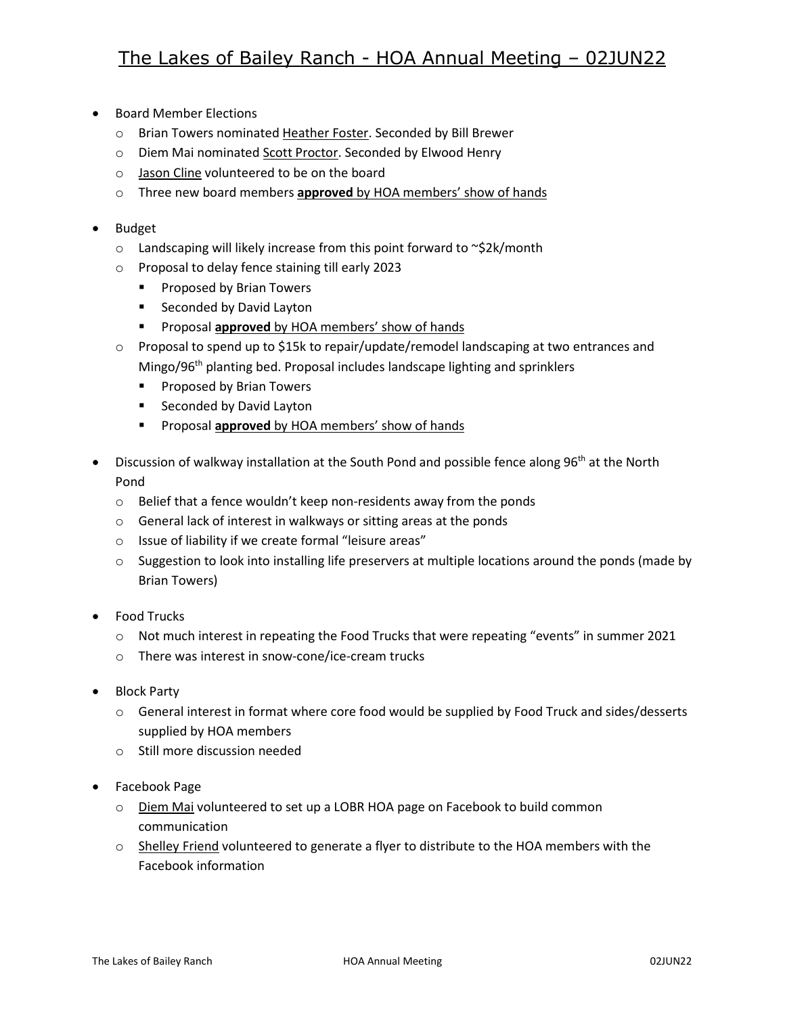- Board Member Elections
	- o Brian Towers nominated Heather Foster. Seconded by Bill Brewer
	- o Diem Mai nominated Scott Proctor. Seconded by Elwood Henry
	- o Jason Cline volunteered to be on the board
	- o Three new board members **approved** by HOA members' show of hands
- Budget
	- o Landscaping will likely increase from this point forward to ~\$2k/month
	- o Proposal to delay fence staining till early 2023
		- **Proposed by Brian Towers**
		- **Seconded by David Layton**
		- **Proposal approved** by HOA members' show of hands
	- $\circ$  Proposal to spend up to \$15k to repair/update/remodel landscaping at two entrances and Mingo/96<sup>th</sup> planting bed. Proposal includes landscape lighting and sprinklers
		- **Proposed by Brian Towers**
		- **Seconded by David Layton**
		- **Proposal approved** by HOA members' show of hands
- Discussion of walkway installation at the South Pond and possible fence along 96<sup>th</sup> at the North Pond
	- o Belief that a fence wouldn't keep non-residents away from the ponds
	- o General lack of interest in walkways or sitting areas at the ponds
	- o Issue of liability if we create formal "leisure areas"
	- $\circ$  Suggestion to look into installing life preservers at multiple locations around the ponds (made by Brian Towers)
- Food Trucks
	- o Not much interest in repeating the Food Trucks that were repeating "events" in summer 2021
	- o There was interest in snow-cone/ice-cream trucks
- Block Party
	- o General interest in format where core food would be supplied by Food Truck and sides/desserts supplied by HOA members
	- o Still more discussion needed
- Facebook Page
	- $\circ$  Diem Mai volunteered to set up a LOBR HOA page on Facebook to build common communication
	- $\circ$  Shelley Friend volunteered to generate a flyer to distribute to the HOA members with the Facebook information